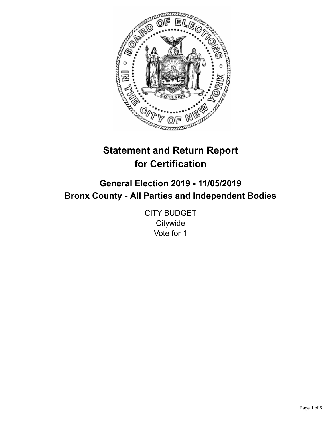

# **Statement and Return Report for Certification**

## **General Election 2019 - 11/05/2019 Bronx County - All Parties and Independent Bodies**

CITY BUDGET **Citywide** Vote for 1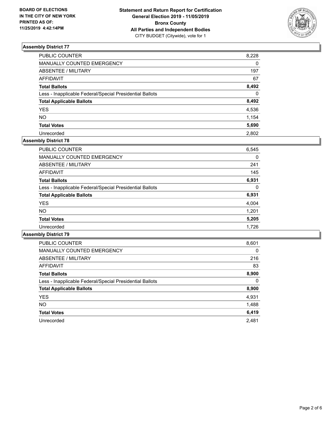

| PUBLIC COUNTER                                           | 8,228    |
|----------------------------------------------------------|----------|
| MANUALLY COUNTED EMERGENCY                               | 0        |
| ABSENTEE / MILITARY                                      | 197      |
| AFFIDAVIT                                                | 67       |
| Total Ballots                                            | 8,492    |
| Less - Inapplicable Federal/Special Presidential Ballots | $\Omega$ |
| <b>Total Applicable Ballots</b>                          | 8,492    |
| YES                                                      | 4,536    |
| NO.                                                      | 1,154    |
| <b>Total Votes</b>                                       | 5,690    |
| Unrecorded                                               | 2.802    |

#### **Assembly District 78**

| <b>PUBLIC COUNTER</b>                                    | 6,545 |
|----------------------------------------------------------|-------|
| <b>MANUALLY COUNTED EMERGENCY</b>                        | 0     |
| ABSENTEE / MILITARY                                      | 241   |
| AFFIDAVIT                                                | 145   |
| <b>Total Ballots</b>                                     | 6,931 |
| Less - Inapplicable Federal/Special Presidential Ballots | 0     |
| <b>Total Applicable Ballots</b>                          | 6,931 |
| <b>YES</b>                                               | 4,004 |
| <b>NO</b>                                                | 1,201 |
| <b>Total Votes</b>                                       | 5,205 |
| Unrecorded                                               | 1.726 |

| <b>PUBLIC COUNTER</b>                                    | 8,601    |
|----------------------------------------------------------|----------|
| <b>MANUALLY COUNTED EMERGENCY</b>                        | $\Omega$ |
| ABSENTEE / MILITARY                                      | 216      |
| AFFIDAVIT                                                | 83       |
| <b>Total Ballots</b>                                     | 8,900    |
| Less - Inapplicable Federal/Special Presidential Ballots | $\Omega$ |
| <b>Total Applicable Ballots</b>                          | 8,900    |
| <b>YES</b>                                               | 4,931    |
| NO.                                                      | 1,488    |
| <b>Total Votes</b>                                       | 6,419    |
| Unrecorded                                               | 2,481    |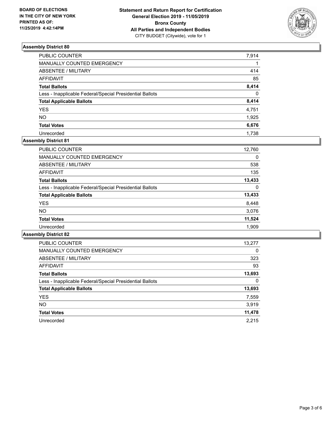

| PUBLIC COUNTER                                           | 7,914        |
|----------------------------------------------------------|--------------|
| MANUALLY COUNTED EMERGENCY                               |              |
| ABSENTEE / MILITARY                                      | 414          |
| AFFIDAVIT                                                | 85           |
| Total Ballots                                            | 8,414        |
| Less - Inapplicable Federal/Special Presidential Ballots | $\mathbf{0}$ |
| <b>Total Applicable Ballots</b>                          | 8,414        |
| <b>YES</b>                                               | 4,751        |
| NO.                                                      | 1,925        |
| <b>Total Votes</b>                                       | 6,676        |
| Unrecorded                                               | 1.738        |

## **Assembly District 81**

| <b>PUBLIC COUNTER</b>                                    | 12,760 |
|----------------------------------------------------------|--------|
| <b>MANUALLY COUNTED EMERGENCY</b>                        | 0      |
| ABSENTEE / MILITARY                                      | 538    |
| AFFIDAVIT                                                | 135    |
| <b>Total Ballots</b>                                     | 13,433 |
| Less - Inapplicable Federal/Special Presidential Ballots | 0      |
| <b>Total Applicable Ballots</b>                          | 13,433 |
| <b>YES</b>                                               | 8,448  |
| NO.                                                      | 3,076  |
| <b>Total Votes</b>                                       | 11,524 |
| Unrecorded                                               | 1.909  |

| <b>PUBLIC COUNTER</b>                                    | 13,277 |
|----------------------------------------------------------|--------|
| <b>MANUALLY COUNTED EMERGENCY</b>                        | 0      |
| ABSENTEE / MILITARY                                      | 323    |
| AFFIDAVIT                                                | 93     |
| <b>Total Ballots</b>                                     | 13,693 |
| Less - Inapplicable Federal/Special Presidential Ballots | 0      |
| <b>Total Applicable Ballots</b>                          | 13,693 |
| <b>YES</b>                                               | 7,559  |
| <b>NO</b>                                                | 3,919  |
| <b>Total Votes</b>                                       | 11,478 |
| Unrecorded                                               | 2.215  |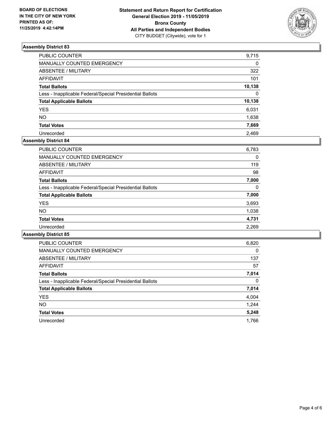

| PUBLIC COUNTER                                           | 9,715    |
|----------------------------------------------------------|----------|
| MANUALLY COUNTED EMERGENCY                               | 0        |
| ABSENTEE / MILITARY                                      | 322      |
| AFFIDAVIT                                                | 101      |
| Total Ballots                                            | 10,138   |
| Less - Inapplicable Federal/Special Presidential Ballots | $\Omega$ |
| <b>Total Applicable Ballots</b>                          | 10,138   |
| YES                                                      | 6,031    |
| NO.                                                      | 1,638    |
| <b>Total Votes</b>                                       | 7,669    |
| Unrecorded                                               | 2.469    |

#### **Assembly District 84**

| <b>PUBLIC COUNTER</b>                                    | 6,783    |
|----------------------------------------------------------|----------|
| <b>MANUALLY COUNTED EMERGENCY</b>                        | 0        |
| ABSENTEE / MILITARY                                      | 119      |
| AFFIDAVIT                                                | 98       |
| <b>Total Ballots</b>                                     | 7,000    |
| Less - Inapplicable Federal/Special Presidential Ballots | $\Omega$ |
| <b>Total Applicable Ballots</b>                          | 7,000    |
| <b>YES</b>                                               | 3,693    |
| <b>NO</b>                                                | 1,038    |
| <b>Total Votes</b>                                       | 4,731    |
| Unrecorded                                               | 2,269    |
|                                                          |          |

| <b>PUBLIC COUNTER</b>                                    | 6,820    |
|----------------------------------------------------------|----------|
| <b>MANUALLY COUNTED EMERGENCY</b>                        | $\Omega$ |
| ABSENTEE / MILITARY                                      | 137      |
| <b>AFFIDAVIT</b>                                         | 57       |
| <b>Total Ballots</b>                                     | 7,014    |
| Less - Inapplicable Federal/Special Presidential Ballots | $\Omega$ |
| <b>Total Applicable Ballots</b>                          | 7,014    |
| <b>YES</b>                                               | 4,004    |
| NO.                                                      | 1,244    |
| <b>Total Votes</b>                                       | 5,248    |
| Unrecorded                                               | 1.766    |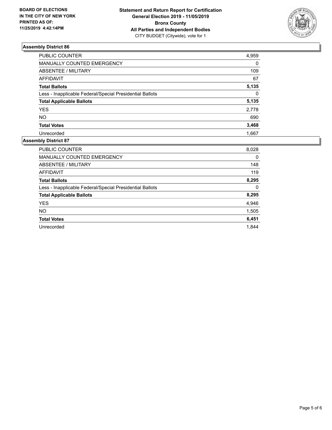

| PUBLIC COUNTER                                           | 4,959    |
|----------------------------------------------------------|----------|
|                                                          |          |
| <b>MANUALLY COUNTED EMERGENCY</b>                        | $\Omega$ |
| ABSENTEE / MILITARY                                      | 109      |
| <b>AFFIDAVIT</b>                                         | 67       |
| <b>Total Ballots</b>                                     | 5,135    |
| Less - Inapplicable Federal/Special Presidential Ballots | $\Omega$ |
| <b>Total Applicable Ballots</b>                          | 5,135    |
| YES                                                      | 2,778    |
| NO                                                       | 690      |
| <b>Total Votes</b>                                       | 3,468    |
| Unrecorded                                               | 1.667    |

| PUBLIC COUNTER                                           | 8,028 |
|----------------------------------------------------------|-------|
| <b>MANUALLY COUNTED EMERGENCY</b>                        | 0     |
| ABSENTEE / MILITARY                                      | 148   |
| <b>AFFIDAVIT</b>                                         | 119   |
| <b>Total Ballots</b>                                     | 8,295 |
| Less - Inapplicable Federal/Special Presidential Ballots | 0     |
| <b>Total Applicable Ballots</b>                          | 8,295 |
| <b>YES</b>                                               | 4,946 |
| <b>NO</b>                                                | 1,505 |
| <b>Total Votes</b>                                       | 6,451 |
| Unrecorded                                               | 1.844 |